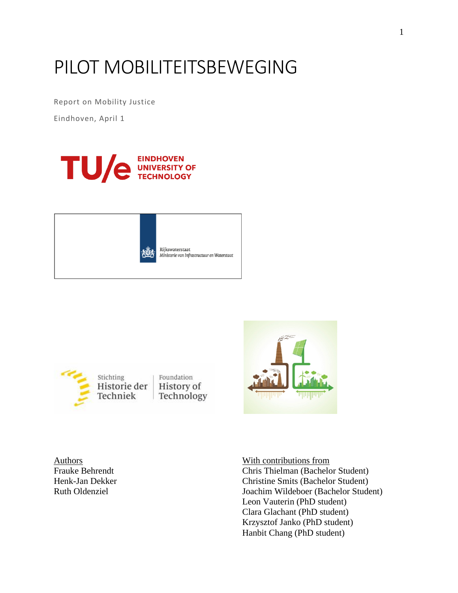# PILOT MOBILITEITSBEWEGING

Report on Mobility Justice

Eindhoven, April 1







Foundation History of Technology



Authors **Mith contributions** from Frauke Behrendt Chris Thielman (Bachelor Student) Henk-Jan Dekker Christine Smits (Bachelor Student) Ruth Oldenziel Joachim Wildeboer (Bachelor Student) Leon Vauterin (PhD student) Clara Glachant (PhD student) Krzysztof Janko (PhD student) Hanbit Chang (PhD student)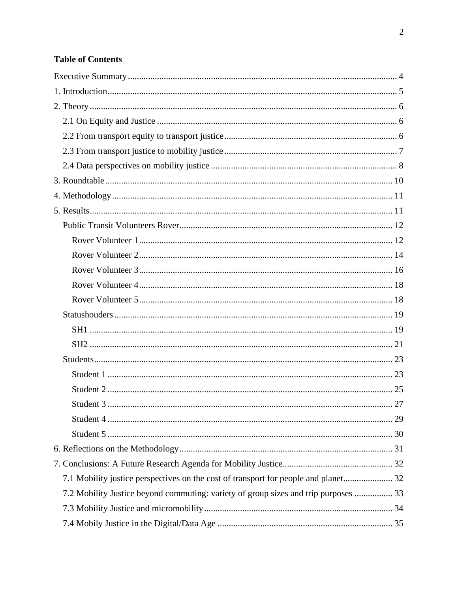# **Table of Contents**

| 7.2 Mobility Justice beyond commuting: variety of group sizes and trip purposes  33 |
|-------------------------------------------------------------------------------------|
|                                                                                     |
|                                                                                     |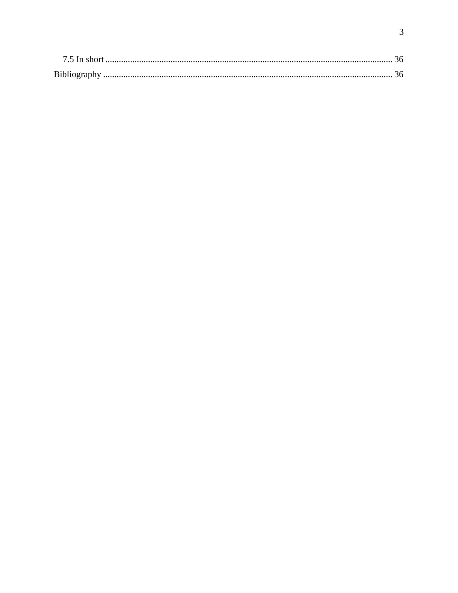| Bibliography |  |
|--------------|--|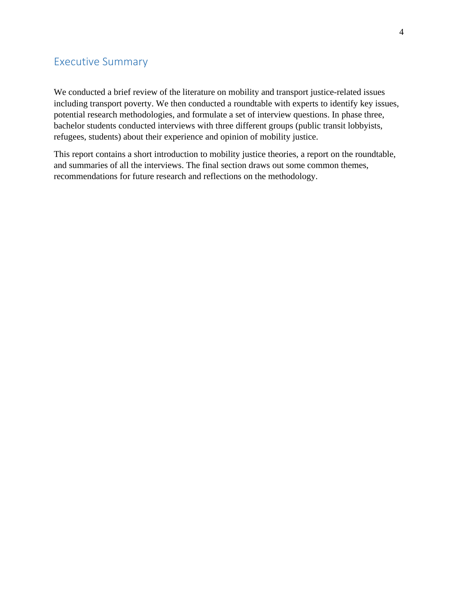## <span id="page-3-0"></span>Executive Summary

We conducted a brief review of the literature on mobility and transport justice-related issues including transport poverty. We then conducted a roundtable with experts to identify key issues, potential research methodologies, and formulate a set of interview questions. In phase three, bachelor students conducted interviews with three different groups (public transit lobbyists, refugees, students) about their experience and opinion of mobility justice.

This report contains a short introduction to mobility justice theories, a report on the roundtable, and summaries of all the interviews. The final section draws out some common themes, recommendations for future research and reflections on the methodology.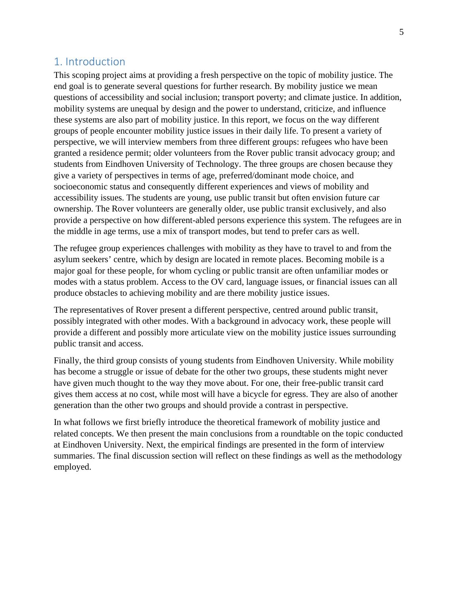## <span id="page-4-0"></span>1. Introduction

This scoping project aims at providing a fresh perspective on the topic of mobility justice. The end goal is to generate several questions for further research. By mobility justice we mean questions of accessibility and social inclusion; transport poverty; and climate justice. In addition, mobility systems are unequal by design and the power to understand, criticize, and influence these systems are also part of mobility justice. In this report, we focus on the way different groups of people encounter mobility justice issues in their daily life. To present a variety of perspective, we will interview members from three different groups: refugees who have been granted a residence permit; older volunteers from the Rover public transit advocacy group; and students from Eindhoven University of Technology. The three groups are chosen because they give a variety of perspectives in terms of age, preferred/dominant mode choice, and socioeconomic status and consequently different experiences and views of mobility and accessibility issues. The students are young, use public transit but often envision future car ownership. The Rover volunteers are generally older, use public transit exclusively, and also provide a perspective on how different-abled persons experience this system. The refugees are in the middle in age terms, use a mix of transport modes, but tend to prefer cars as well.

The refugee group experiences challenges with mobility as they have to travel to and from the asylum seekers' centre, which by design are located in remote places. Becoming mobile is a major goal for these people, for whom cycling or public transit are often unfamiliar modes or modes with a status problem. Access to the OV card, language issues, or financial issues can all produce obstacles to achieving mobility and are there mobility justice issues.

The representatives of Rover present a different perspective, centred around public transit, possibly integrated with other modes. With a background in advocacy work, these people will provide a different and possibly more articulate view on the mobility justice issues surrounding public transit and access.

Finally, the third group consists of young students from Eindhoven University. While mobility has become a struggle or issue of debate for the other two groups, these students might never have given much thought to the way they move about. For one, their free-public transit card gives them access at no cost, while most will have a bicycle for egress. They are also of another generation than the other two groups and should provide a contrast in perspective.

In what follows we first briefly introduce the theoretical framework of mobility justice and related concepts. We then present the main conclusions from a roundtable on the topic conducted at Eindhoven University. Next, the empirical findings are presented in the form of interview summaries. The final discussion section will reflect on these findings as well as the methodology employed.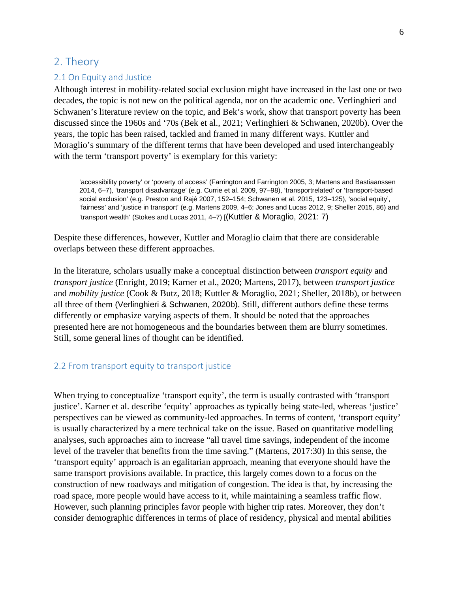## <span id="page-5-0"></span>2. Theory

#### <span id="page-5-1"></span>2.1 On Equity and Justice

Although interest in mobility-related social exclusion might have increased in the last one or two decades, the topic is not new on the political agenda, nor on the academic one. Verlinghieri and Schwanen's literature review on the topic, and Bek's work, show that transport poverty has been discussed since the 1960s and '70s (Bek et al., 2021; Verlinghieri & Schwanen, 2020b). Over the years, the topic has been raised, tackled and framed in many different ways. Kuttler and Moraglio's summary of the different terms that have been developed and used interchangeably with the term 'transport poverty' is exemplary for this variety:

'accessibility poverty' or 'poverty of access' (Farrington and Farrington 2005, 3; Martens and Bastiaanssen 2014, 6–7), 'transport disadvantage' (e.g. Currie et al. 2009, 97–98), 'transportrelated' or 'transport-based social exclusion' (e.g. Preston and Rajé 2007, 152–154; Schwanen et al. 2015, 123–125), 'social equity', 'fairness' and 'justice in transport' (e.g. Martens 2009, 4–6; Jones and Lucas 2012, 9; Sheller 2015, 86) and 'transport wealth' (Stokes and Lucas 2011, 4–7) [(Kuttler & Moraglio, 2021: 7)

Despite these differences, however, Kuttler and Moraglio claim that there are considerable overlaps between these different approaches.

In the literature, scholars usually make a conceptual distinction between *transport equity* and *transport justice* (Enright, 2019; Karner et al., 2020; Martens, 2017), between *transport justice* and *mobility justice* (Cook & Butz, 2018; Kuttler & Moraglio, 2021; Sheller, 2018b), or between all three of them (Verlinghieri & Schwanen, 2020b). Still, different authors define these terms differently or emphasize varying aspects of them. It should be noted that the approaches presented here are not homogeneous and the boundaries between them are blurry sometimes. Still, some general lines of thought can be identified.

#### <span id="page-5-2"></span>2.2 From transport equity to transport justice

When trying to conceptualize 'transport equity', the term is usually contrasted with 'transport justice'. Karner et al. describe 'equity' approaches as typically being state-led, whereas 'justice' perspectives can be viewed as community-led approaches. In terms of content, 'transport equity' is usually characterized by a mere technical take on the issue. Based on quantitative modelling analyses, such approaches aim to increase "all travel time savings, independent of the income level of the traveler that benefits from the time saving." (Martens, 2017:30) In this sense, the 'transport equity' approach is an egalitarian approach, meaning that everyone should have the same transport provisions available. In practice, this largely comes down to a focus on the construction of new roadways and mitigation of congestion. The idea is that, by increasing the road space, more people would have access to it, while maintaining a seamless traffic flow. However, such planning principles favor people with higher trip rates. Moreover, they don't consider demographic differences in terms of place of residency, physical and mental abilities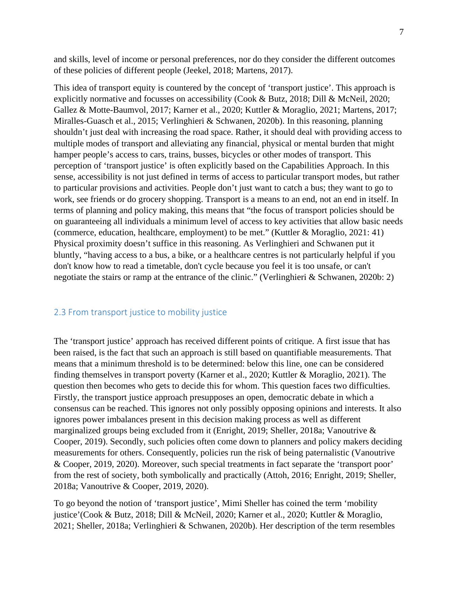and skills, level of income or personal preferences, nor do they consider the different outcomes of these policies of different people (Jeekel, 2018; Martens, 2017).

This idea of transport equity is countered by the concept of 'transport justice'. This approach is explicitly normative and focusses on accessibility (Cook & Butz, 2018; Dill & McNeil, 2020; Gallez & Motte-Baumvol, 2017; Karner et al., 2020; Kuttler & Moraglio, 2021; Martens, 2017; Miralles-Guasch et al., 2015; Verlinghieri & Schwanen, 2020b). In this reasoning, planning shouldn't just deal with increasing the road space. Rather, it should deal with providing access to multiple modes of transport and alleviating any financial, physical or mental burden that might hamper people's access to cars, trains, busses, bicycles or other modes of transport. This perception of 'transport justice' is often explicitly based on the Capabilities Approach. In this sense, accessibility is not just defined in terms of access to particular transport modes, but rather to particular provisions and activities. People don't just want to catch a bus; they want to go to work, see friends or do grocery shopping. Transport is a means to an end, not an end in itself. In terms of planning and policy making, this means that "the focus of transport policies should be on guaranteeing all individuals a minimum level of access to key activities that allow basic needs (commerce, education, healthcare, employment) to be met." (Kuttler & Moraglio, 2021: 41) Physical proximity doesn't suffice in this reasoning. As Verlinghieri and Schwanen put it bluntly, "having access to a bus, a bike, or a healthcare centres is not particularly helpful if you don't know how to read a timetable, don't cycle because you feel it is too unsafe, or can't negotiate the stairs or ramp at the entrance of the clinic." (Verlinghieri & Schwanen, 2020b: 2)

#### <span id="page-6-0"></span>2.3 From transport justice to mobility justice

The 'transport justice' approach has received different points of critique. A first issue that has been raised, is the fact that such an approach is still based on quantifiable measurements. That means that a minimum threshold is to be determined: below this line, one can be considered finding themselves in transport poverty (Karner et al., 2020; Kuttler & Moraglio, 2021). The question then becomes who gets to decide this for whom. This question faces two difficulties. Firstly, the transport justice approach presupposes an open, democratic debate in which a consensus can be reached. This ignores not only possibly opposing opinions and interests. It also ignores power imbalances present in this decision making process as well as different marginalized groups being excluded from it (Enright, 2019; Sheller, 2018a; Vanoutrive & Cooper, 2019). Secondly, such policies often come down to planners and policy makers deciding measurements for others. Consequently, policies run the risk of being paternalistic (Vanoutrive & Cooper, 2019, 2020). Moreover, such special treatments in fact separate the 'transport poor' from the rest of society, both symbolically and practically (Attoh, 2016; Enright, 2019; Sheller, 2018a; Vanoutrive & Cooper, 2019, 2020).

To go beyond the notion of 'transport justice', Mimi Sheller has coined the term 'mobility justice'(Cook & Butz, 2018; Dill & McNeil, 2020; Karner et al., 2020; Kuttler & Moraglio, 2021; Sheller, 2018a; Verlinghieri & Schwanen, 2020b). Her description of the term resembles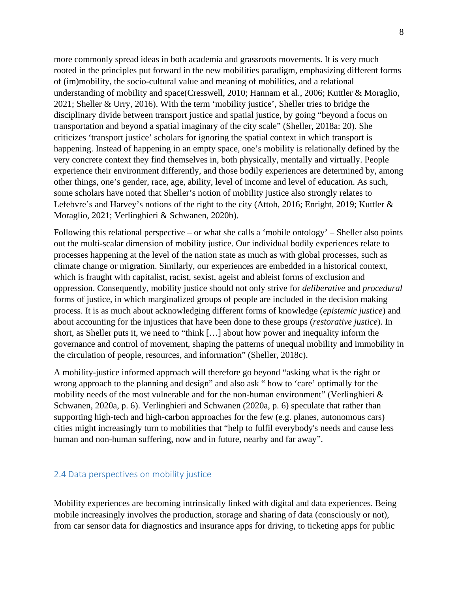more commonly spread ideas in both academia and grassroots movements. It is very much rooted in the principles put forward in the new mobilities paradigm, emphasizing different forms of (im)mobility, the socio-cultural value and meaning of mobilities, and a relational understanding of mobility and space(Cresswell, 2010; Hannam et al., 2006; Kuttler & Moraglio, 2021; Sheller & Urry, 2016). With the term 'mobility justice', Sheller tries to bridge the disciplinary divide between transport justice and spatial justice, by going "beyond a focus on transportation and beyond a spatial imaginary of the city scale" (Sheller, 2018a: 20). She criticizes 'transport justice' scholars for ignoring the spatial context in which transport is happening. Instead of happening in an empty space, one's mobility is relationally defined by the very concrete context they find themselves in, both physically, mentally and virtually. People experience their environment differently, and those bodily experiences are determined by, among other things, one's gender, race, age, ability, level of income and level of education. As such, some scholars have noted that Sheller's notion of mobility justice also strongly relates to Lefebvre's and Harvey's notions of the right to the city (Attoh, 2016; Enright, 2019; Kuttler & Moraglio, 2021; Verlinghieri & Schwanen, 2020b).

Following this relational perspective – or what she calls a 'mobile ontology' – Sheller also points out the multi-scalar dimension of mobility justice. Our individual bodily experiences relate to processes happening at the level of the nation state as much as with global processes, such as climate change or migration. Similarly, our experiences are embedded in a historical context, which is fraught with capitalist, racist, sexist, ageist and ableist forms of exclusion and oppression. Consequently, mobility justice should not only strive for *deliberative* and *procedural* forms of justice, in which marginalized groups of people are included in the decision making process. It is as much about acknowledging different forms of knowledge (*epistemic justice*) and about accounting for the injustices that have been done to these groups (*restorative justice*). In short, as Sheller puts it, we need to "think […] about how power and inequality inform the governance and control of movement, shaping the patterns of unequal mobility and immobility in the circulation of people, resources, and information" (Sheller, 2018c).

A mobility-justice informed approach will therefore go beyond "asking what is the right or wrong approach to the planning and design" and also ask " how to 'care' optimally for the mobility needs of the most vulnerable and for the non-human environment" (Verlinghieri  $\&$ Schwanen, 2020a, p. 6). Verlinghieri and Schwanen (2020a, p. 6) speculate that rather than supporting high-tech and high-carbon approaches for the few (e.g. planes, autonomous cars) cities might increasingly turn to mobilities that "help to fulfil everybody's needs and cause less human and non-human suffering, now and in future, nearby and far away".

#### <span id="page-7-0"></span>2.4 Data perspectives on mobility justice

Mobility experiences are becoming intrinsically linked with digital and data experiences. Being mobile increasingly involves the production, storage and sharing of data (consciously or not), from car sensor data for diagnostics and insurance apps for driving, to ticketing apps for public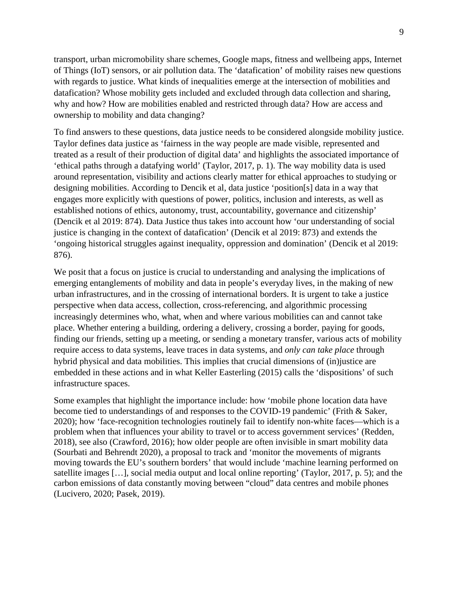transport, urban micromobility share schemes, Google maps, fitness and wellbeing apps, Internet of Things (IoT) sensors, or air pollution data. The 'datafication' of mobility raises new questions with regards to justice. What kinds of inequalities emerge at the intersection of mobilities and datafication? Whose mobility gets included and excluded through data collection and sharing, why and how? How are mobilities enabled and restricted through data? How are access and ownership to mobility and data changing?

To find answers to these questions, data justice needs to be considered alongside mobility justice. Taylor defines data justice as 'fairness in the way people are made visible, represented and treated as a result of their production of digital data' and highlights the associated importance of 'ethical paths through a datafying world' (Taylor, 2017, p. 1). The way mobility data is used around representation, visibility and actions clearly matter for ethical approaches to studying or designing mobilities. According to Dencik et al, data justice 'position[s] data in a way that engages more explicitly with questions of power, politics, inclusion and interests, as well as established notions of ethics, autonomy, trust, accountability, governance and citizenship' (Dencik et al 2019: 874). Data Justice thus takes into account how 'our understanding of social justice is changing in the context of datafication' (Dencik et al 2019: 873) and extends the 'ongoing historical struggles against inequality, oppression and domination' (Dencik et al 2019: 876).

We posit that a focus on justice is crucial to understanding and analysing the implications of emerging entanglements of mobility and data in people's everyday lives, in the making of new urban infrastructures, and in the crossing of international borders. It is urgent to take a justice perspective when data access, collection, cross-referencing, and algorithmic processing increasingly determines who, what, when and where various mobilities can and cannot take place. Whether entering a building, ordering a delivery, crossing a border, paying for goods, finding our friends, setting up a meeting, or sending a monetary transfer, various acts of mobility require access to data systems, leave traces in data systems, and *only can take place* through hybrid physical and data mobilities. This implies that crucial dimensions of (in)justice are embedded in these actions and in what Keller Easterling (2015) calls the 'dispositions' of such infrastructure spaces.

Some examples that highlight the importance include: how 'mobile phone location data have become tied to understandings of and responses to the COVID-19 pandemic' (Frith & Saker, 2020); how 'face-recognition technologies routinely fail to identify non-white faces—which is a problem when that influences your ability to travel or to access government services' (Redden, 2018), see also (Crawford, 2016); how older people are often invisible in smart mobility data (Sourbati and Behrendt 2020), a proposal to track and 'monitor the movements of migrants moving towards the EU's southern borders' that would include 'machine learning performed on satellite images […], social media output and local online reporting' (Taylor, 2017, p. 5); and the carbon emissions of data constantly moving between "cloud" data centres and mobile phones (Lucivero, 2020; Pasek, 2019).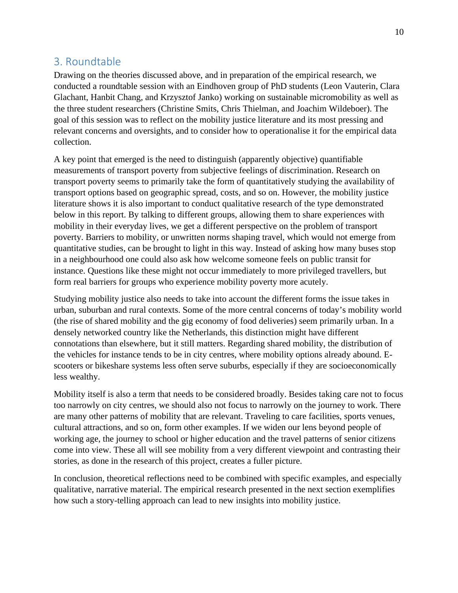# <span id="page-9-0"></span>3. Roundtable

Drawing on the theories discussed above, and in preparation of the empirical research, we conducted a roundtable session with an Eindhoven group of PhD students (Leon Vauterin, Clara Glachant, Hanbit Chang, and Krzysztof Janko) working on sustainable micromobility as well as the three student researchers (Christine Smits, Chris Thielman, and Joachim Wildeboer). The goal of this session was to reflect on the mobility justice literature and its most pressing and relevant concerns and oversights, and to consider how to operationalise it for the empirical data collection.

A key point that emerged is the need to distinguish (apparently objective) quantifiable measurements of transport poverty from subjective feelings of discrimination. Research on transport poverty seems to primarily take the form of quantitatively studying the availability of transport options based on geographic spread, costs, and so on. However, the mobility justice literature shows it is also important to conduct qualitative research of the type demonstrated below in this report. By talking to different groups, allowing them to share experiences with mobility in their everyday lives, we get a different perspective on the problem of transport poverty. Barriers to mobility, or unwritten norms shaping travel, which would not emerge from quantitative studies, can be brought to light in this way. Instead of asking how many buses stop in a neighbourhood one could also ask how welcome someone feels on public transit for instance. Questions like these might not occur immediately to more privileged travellers, but form real barriers for groups who experience mobility poverty more acutely.

Studying mobility justice also needs to take into account the different forms the issue takes in urban, suburban and rural contexts. Some of the more central concerns of today's mobility world (the rise of shared mobility and the gig economy of food deliveries) seem primarily urban. In a densely networked country like the Netherlands, this distinction might have different connotations than elsewhere, but it still matters. Regarding shared mobility, the distribution of the vehicles for instance tends to be in city centres, where mobility options already abound. Escooters or bikeshare systems less often serve suburbs, especially if they are socioeconomically less wealthy.

Mobility itself is also a term that needs to be considered broadly. Besides taking care not to focus too narrowly on city centres, we should also not focus to narrowly on the journey to work. There are many other patterns of mobility that are relevant. Traveling to care facilities, sports venues, cultural attractions, and so on, form other examples. If we widen our lens beyond people of working age, the journey to school or higher education and the travel patterns of senior citizens come into view. These all will see mobility from a very different viewpoint and contrasting their stories, as done in the research of this project, creates a fuller picture.

In conclusion, theoretical reflections need to be combined with specific examples, and especially qualitative, narrative material. The empirical research presented in the next section exemplifies how such a story-telling approach can lead to new insights into mobility justice.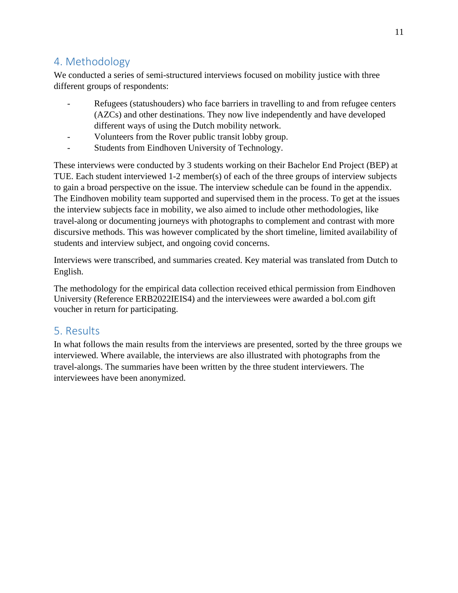# <span id="page-10-0"></span>4. Methodology

We conducted a series of semi-structured interviews focused on mobility justice with three different groups of respondents:

- Refugees (statushouders) who face barriers in travelling to and from refugee centers (AZCs) and other destinations. They now live independently and have developed different ways of using the Dutch mobility network.
- Volunteers from the Rover public transit lobby group.
- Students from Eindhoven University of Technology.

These interviews were conducted by 3 students working on their Bachelor End Project (BEP) at TUE. Each student interviewed 1-2 member(s) of each of the three groups of interview subjects to gain a broad perspective on the issue. The interview schedule can be found in the appendix. The Eindhoven mobility team supported and supervised them in the process. To get at the issues the interview subjects face in mobility, we also aimed to include other methodologies, like travel-along or documenting journeys with photographs to complement and contrast with more discursive methods. This was however complicated by the short timeline, limited availability of students and interview subject, and ongoing covid concerns.

Interviews were transcribed, and summaries created. Key material was translated from Dutch to English.

The methodology for the empirical data collection received ethical permission from Eindhoven University (Reference ERB2022IEIS4) and the interviewees were awarded a bol.com gift voucher in return for participating.

# <span id="page-10-1"></span>5. Results

In what follows the main results from the interviews are presented, sorted by the three groups we interviewed. Where available, the interviews are also illustrated with photographs from the travel-alongs. The summaries have been written by the three student interviewers. The interviewees have been anonymized.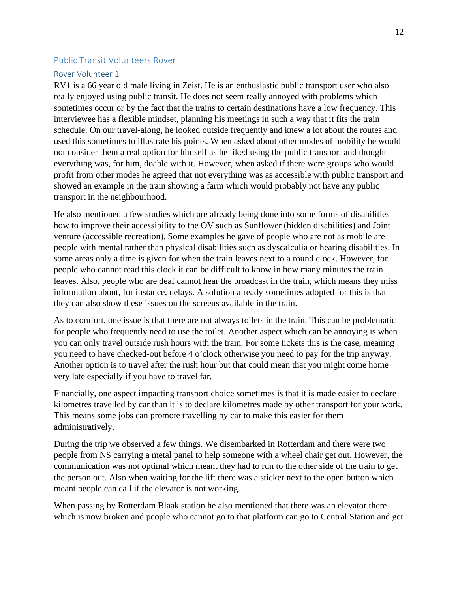#### <span id="page-11-0"></span>Public Transit Volunteers Rover

#### <span id="page-11-1"></span>Rover Volunteer 1

RV1 is a 66 year old male living in Zeist. He is an enthusiastic public transport user who also really enjoyed using public transit. He does not seem really annoyed with problems which sometimes occur or by the fact that the trains to certain destinations have a low frequency. This interviewee has a flexible mindset, planning his meetings in such a way that it fits the train schedule. On our travel-along, he looked outside frequently and knew a lot about the routes and used this sometimes to illustrate his points. When asked about other modes of mobility he would not consider them a real option for himself as he liked using the public transport and thought everything was, for him, doable with it. However, when asked if there were groups who would profit from other modes he agreed that not everything was as accessible with public transport and showed an example in the train showing a farm which would probably not have any public transport in the neighbourhood.

He also mentioned a few studies which are already being done into some forms of disabilities how to improve their accessibility to the OV such as Sunflower (hidden disabilities) and Joint venture (accessible recreation). Some examples he gave of people who are not as mobile are people with mental rather than physical disabilities such as dyscalculia or hearing disabilities. In some areas only a time is given for when the train leaves next to a round clock. However, for people who cannot read this clock it can be difficult to know in how many minutes the train leaves. Also, people who are deaf cannot hear the broadcast in the train, which means they miss information about, for instance, delays. A solution already sometimes adopted for this is that they can also show these issues on the screens available in the train.

As to comfort, one issue is that there are not always toilets in the train. This can be problematic for people who frequently need to use the toilet. Another aspect which can be annoying is when you can only travel outside rush hours with the train. For some tickets this is the case, meaning you need to have checked-out before 4 o'clock otherwise you need to pay for the trip anyway. Another option is to travel after the rush hour but that could mean that you might come home very late especially if you have to travel far.

Financially, one aspect impacting transport choice sometimes is that it is made easier to declare kilometres travelled by car than it is to declare kilometres made by other transport for your work. This means some jobs can promote travelling by car to make this easier for them administratively.

During the trip we observed a few things. We disembarked in Rotterdam and there were two people from NS carrying a metal panel to help someone with a wheel chair get out. However, the communication was not optimal which meant they had to run to the other side of the train to get the person out. Also when waiting for the lift there was a sticker next to the open button which meant people can call if the elevator is not working.

When passing by Rotterdam Blaak station he also mentioned that there was an elevator there which is now broken and people who cannot go to that platform can go to Central Station and get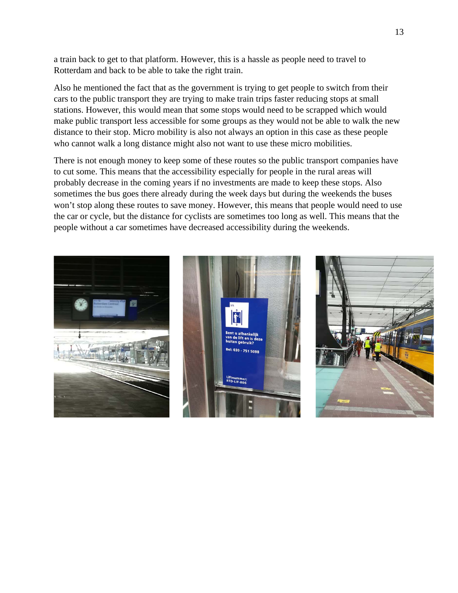a train back to get to that platform. However, this is a hassle as people need to travel to Rotterdam and back to be able to take the right train.

Also he mentioned the fact that as the government is trying to get people to switch from their cars to the public transport they are trying to make train trips faster reducing stops at small stations. However, this would mean that some stops would need to be scrapped which would make public transport less accessible for some groups as they would not be able to walk the new distance to their stop. Micro mobility is also not always an option in this case as these people who cannot walk a long distance might also not want to use these micro mobilities.

There is not enough money to keep some of these routes so the public transport companies have to cut some. This means that the accessibility especially for people in the rural areas will probably decrease in the coming years if no investments are made to keep these stops. Also sometimes the bus goes there already during the week days but during the weekends the buses won't stop along these routes to save money. However, this means that people would need to use the car or cycle, but the distance for cyclists are sometimes too long as well. This means that the people without a car sometimes have decreased accessibility during the weekends.

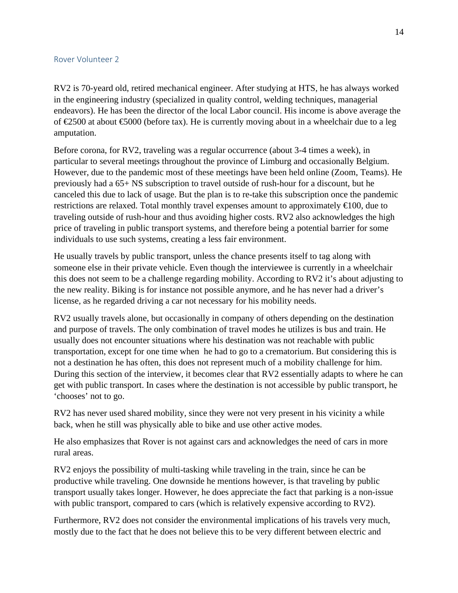#### <span id="page-13-0"></span>Rover Volunteer 2

RV2 is 70-yeard old, retired mechanical engineer. After studying at HTS, he has always worked in the engineering industry (specialized in quality control, welding techniques, managerial endeavors). He has been the director of the local Labor council. His income is above average the of  $\epsilon$ 500 at about  $\epsilon$ 5000 (before tax). He is currently moving about in a wheelchair due to a leg amputation.

Before corona, for RV2, traveling was a regular occurrence (about 3-4 times a week), in particular to several meetings throughout the province of Limburg and occasionally Belgium. However, due to the pandemic most of these meetings have been held online (Zoom, Teams). He previously had a 65+ NS subscription to travel outside of rush-hour for a discount, but he canceled this due to lack of usage. But the plan is to re-take this subscription once the pandemic restrictions are relaxed. Total monthly travel expenses amount to approximately €100, due to traveling outside of rush-hour and thus avoiding higher costs. RV2 also acknowledges the high price of traveling in public transport systems, and therefore being a potential barrier for some individuals to use such systems, creating a less fair environment.

He usually travels by public transport, unless the chance presents itself to tag along with someone else in their private vehicle. Even though the interviewee is currently in a wheelchair this does not seem to be a challenge regarding mobility. According to RV2 it's about adjusting to the new reality. Biking is for instance not possible anymore, and he has never had a driver's license, as he regarded driving a car not necessary for his mobility needs.

RV2 usually travels alone, but occasionally in company of others depending on the destination and purpose of travels. The only combination of travel modes he utilizes is bus and train. He usually does not encounter situations where his destination was not reachable with public transportation, except for one time when he had to go to a crematorium. But considering this is not a destination he has often, this does not represent much of a mobility challenge for him. During this section of the interview, it becomes clear that RV2 essentially adapts to where he can get with public transport. In cases where the destination is not accessible by public transport, he 'chooses' not to go.

RV2 has never used shared mobility, since they were not very present in his vicinity a while back, when he still was physically able to bike and use other active modes.

He also emphasizes that Rover is not against cars and acknowledges the need of cars in more rural areas.

RV2 enjoys the possibility of multi-tasking while traveling in the train, since he can be productive while traveling. One downside he mentions however, is that traveling by public transport usually takes longer. However, he does appreciate the fact that parking is a non-issue with public transport, compared to cars (which is relatively expensive according to RV2).

Furthermore, RV2 does not consider the environmental implications of his travels very much, mostly due to the fact that he does not believe this to be very different between electric and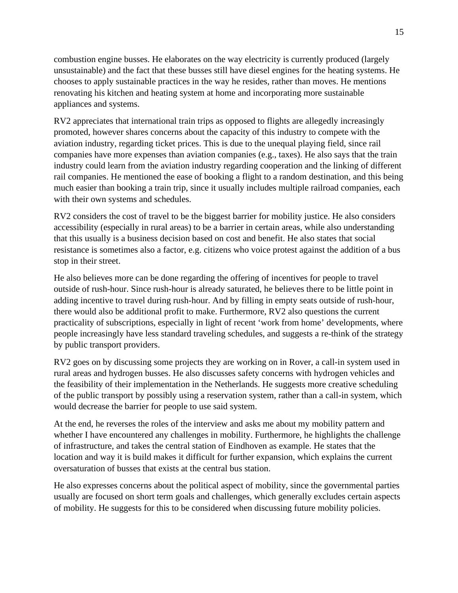combustion engine busses. He elaborates on the way electricity is currently produced (largely unsustainable) and the fact that these busses still have diesel engines for the heating systems. He chooses to apply sustainable practices in the way he resides, rather than moves. He mentions renovating his kitchen and heating system at home and incorporating more sustainable appliances and systems.

RV2 appreciates that international train trips as opposed to flights are allegedly increasingly promoted, however shares concerns about the capacity of this industry to compete with the aviation industry, regarding ticket prices. This is due to the unequal playing field, since rail companies have more expenses than aviation companies (e.g., taxes). He also says that the train industry could learn from the aviation industry regarding cooperation and the linking of different rail companies. He mentioned the ease of booking a flight to a random destination, and this being much easier than booking a train trip, since it usually includes multiple railroad companies, each with their own systems and schedules.

RV2 considers the cost of travel to be the biggest barrier for mobility justice. He also considers accessibility (especially in rural areas) to be a barrier in certain areas, while also understanding that this usually is a business decision based on cost and benefit. He also states that social resistance is sometimes also a factor, e.g. citizens who voice protest against the addition of a bus stop in their street.

He also believes more can be done regarding the offering of incentives for people to travel outside of rush-hour. Since rush-hour is already saturated, he believes there to be little point in adding incentive to travel during rush-hour. And by filling in empty seats outside of rush-hour, there would also be additional profit to make. Furthermore, RV2 also questions the current practicality of subscriptions, especially in light of recent 'work from home' developments, where people increasingly have less standard traveling schedules, and suggests a re-think of the strategy by public transport providers.

RV2 goes on by discussing some projects they are working on in Rover, a call-in system used in rural areas and hydrogen busses. He also discusses safety concerns with hydrogen vehicles and the feasibility of their implementation in the Netherlands. He suggests more creative scheduling of the public transport by possibly using a reservation system, rather than a call-in system, which would decrease the barrier for people to use said system.

At the end, he reverses the roles of the interview and asks me about my mobility pattern and whether I have encountered any challenges in mobility. Furthermore, he highlights the challenge of infrastructure, and takes the central station of Eindhoven as example. He states that the location and way it is build makes it difficult for further expansion, which explains the current oversaturation of busses that exists at the central bus station.

He also expresses concerns about the political aspect of mobility, since the governmental parties usually are focused on short term goals and challenges, which generally excludes certain aspects of mobility. He suggests for this to be considered when discussing future mobility policies.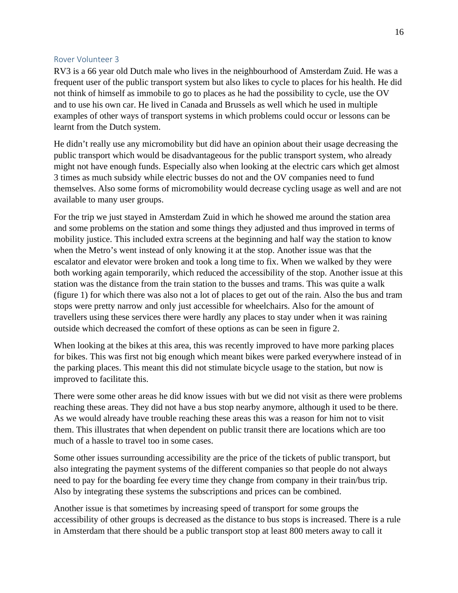#### <span id="page-15-0"></span>Rover Volunteer 3

RV3 is a 66 year old Dutch male who lives in the neighbourhood of Amsterdam Zuid. He was a frequent user of the public transport system but also likes to cycle to places for his health. He did not think of himself as immobile to go to places as he had the possibility to cycle, use the OV and to use his own car. He lived in Canada and Brussels as well which he used in multiple examples of other ways of transport systems in which problems could occur or lessons can be learnt from the Dutch system.

He didn't really use any micromobility but did have an opinion about their usage decreasing the public transport which would be disadvantageous for the public transport system, who already might not have enough funds. Especially also when looking at the electric cars which get almost 3 times as much subsidy while electric busses do not and the OV companies need to fund themselves. Also some forms of micromobility would decrease cycling usage as well and are not available to many user groups.

For the trip we just stayed in Amsterdam Zuid in which he showed me around the station area and some problems on the station and some things they adjusted and thus improved in terms of mobility justice. This included extra screens at the beginning and half way the station to know when the Metro's went instead of only knowing it at the stop. Another issue was that the escalator and elevator were broken and took a long time to fix. When we walked by they were both working again temporarily, which reduced the accessibility of the stop. Another issue at this station was the distance from the train station to the busses and trams. This was quite a walk (figure 1) for which there was also not a lot of places to get out of the rain. Also the bus and tram stops were pretty narrow and only just accessible for wheelchairs. Also for the amount of travellers using these services there were hardly any places to stay under when it was raining outside which decreased the comfort of these options as can be seen in figure 2.

When looking at the bikes at this area, this was recently improved to have more parking places for bikes. This was first not big enough which meant bikes were parked everywhere instead of in the parking places. This meant this did not stimulate bicycle usage to the station, but now is improved to facilitate this.

There were some other areas he did know issues with but we did not visit as there were problems reaching these areas. They did not have a bus stop nearby anymore, although it used to be there. As we would already have trouble reaching these areas this was a reason for him not to visit them. This illustrates that when dependent on public transit there are locations which are too much of a hassle to travel too in some cases.

Some other issues surrounding accessibility are the price of the tickets of public transport, but also integrating the payment systems of the different companies so that people do not always need to pay for the boarding fee every time they change from company in their train/bus trip. Also by integrating these systems the subscriptions and prices can be combined.

Another issue is that sometimes by increasing speed of transport for some groups the accessibility of other groups is decreased as the distance to bus stops is increased. There is a rule in Amsterdam that there should be a public transport stop at least 800 meters away to call it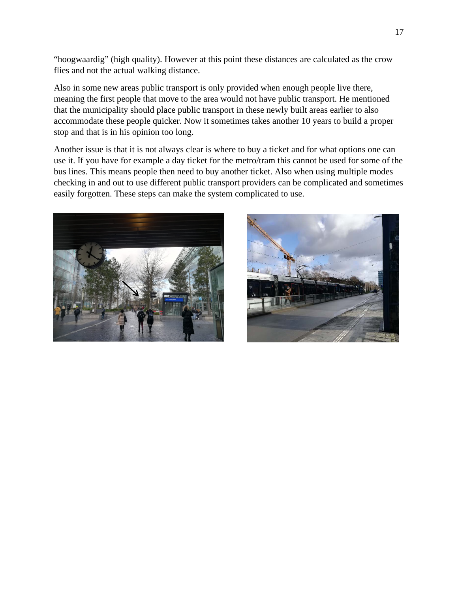"hoogwaardig" (high quality). However at this point these distances are calculated as the crow flies and not the actual walking distance.

Also in some new areas public transport is only provided when enough people live there, meaning the first people that move to the area would not have public transport. He mentioned that the municipality should place public transport in these newly built areas earlier to also accommodate these people quicker. Now it sometimes takes another 10 years to build a proper stop and that is in his opinion too long.

Another issue is that it is not always clear is where to buy a ticket and for what options one can use it. If you have for example a day ticket for the metro/tram this cannot be used for some of the bus lines. This means people then need to buy another ticket. Also when using multiple modes checking in and out to use different public transport providers can be complicated and sometimes easily forgotten. These steps can make the system complicated to use.



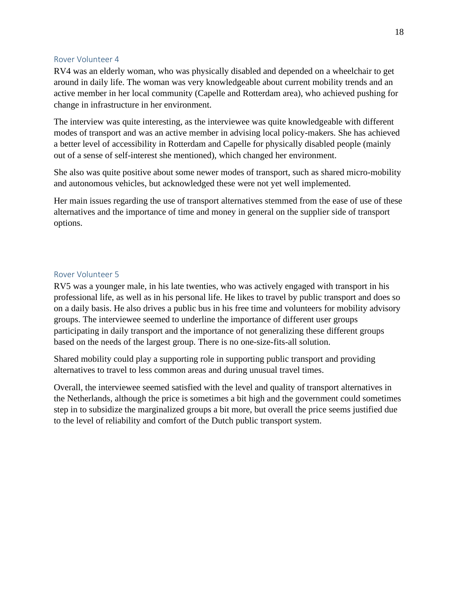#### <span id="page-17-0"></span>Rover Volunteer 4

RV4 was an elderly woman, who was physically disabled and depended on a wheelchair to get around in daily life. The woman was very knowledgeable about current mobility trends and an active member in her local community (Capelle and Rotterdam area), who achieved pushing for change in infrastructure in her environment.

The interview was quite interesting, as the interviewee was quite knowledgeable with different modes of transport and was an active member in advising local policy-makers. She has achieved a better level of accessibility in Rotterdam and Capelle for physically disabled people (mainly out of a sense of self-interest she mentioned), which changed her environment.

She also was quite positive about some newer modes of transport, such as shared micro-mobility and autonomous vehicles, but acknowledged these were not yet well implemented.

Her main issues regarding the use of transport alternatives stemmed from the ease of use of these alternatives and the importance of time and money in general on the supplier side of transport options.

#### <span id="page-17-1"></span>Rover Volunteer 5

RV5 was a younger male, in his late twenties, who was actively engaged with transport in his professional life, as well as in his personal life. He likes to travel by public transport and does so on a daily basis. He also drives a public bus in his free time and volunteers for mobility advisory groups. The interviewee seemed to underline the importance of different user groups participating in daily transport and the importance of not generalizing these different groups based on the needs of the largest group. There is no one-size-fits-all solution.

Shared mobility could play a supporting role in supporting public transport and providing alternatives to travel to less common areas and during unusual travel times.

Overall, the interviewee seemed satisfied with the level and quality of transport alternatives in the Netherlands, although the price is sometimes a bit high and the government could sometimes step in to subsidize the marginalized groups a bit more, but overall the price seems justified due to the level of reliability and comfort of the Dutch public transport system.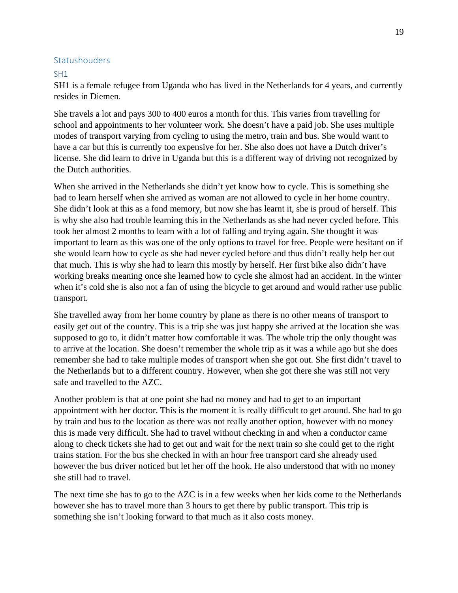#### <span id="page-18-0"></span>Statushouders

#### <span id="page-18-1"></span>SH1

SH1 is a female refugee from Uganda who has lived in the Netherlands for 4 years, and currently resides in Diemen.

She travels a lot and pays 300 to 400 euros a month for this. This varies from travelling for school and appointments to her volunteer work. She doesn't have a paid job. She uses multiple modes of transport varying from cycling to using the metro, train and bus. She would want to have a car but this is currently too expensive for her. She also does not have a Dutch driver's license. She did learn to drive in Uganda but this is a different way of driving not recognized by the Dutch authorities.

When she arrived in the Netherlands she didn't yet know how to cycle. This is something she had to learn herself when she arrived as woman are not allowed to cycle in her home country. She didn't look at this as a fond memory, but now she has learnt it, she is proud of herself. This is why she also had trouble learning this in the Netherlands as she had never cycled before. This took her almost 2 months to learn with a lot of falling and trying again. She thought it was important to learn as this was one of the only options to travel for free. People were hesitant on if she would learn how to cycle as she had never cycled before and thus didn't really help her out that much. This is why she had to learn this mostly by herself. Her first bike also didn't have working breaks meaning once she learned how to cycle she almost had an accident. In the winter when it's cold she is also not a fan of using the bicycle to get around and would rather use public transport.

She travelled away from her home country by plane as there is no other means of transport to easily get out of the country. This is a trip she was just happy she arrived at the location she was supposed to go to, it didn't matter how comfortable it was. The whole trip the only thought was to arrive at the location. She doesn't remember the whole trip as it was a while ago but she does remember she had to take multiple modes of transport when she got out. She first didn't travel to the Netherlands but to a different country. However, when she got there she was still not very safe and travelled to the AZC.

Another problem is that at one point she had no money and had to get to an important appointment with her doctor. This is the moment it is really difficult to get around. She had to go by train and bus to the location as there was not really another option, however with no money this is made very difficult. She had to travel without checking in and when a conductor came along to check tickets she had to get out and wait for the next train so she could get to the right trains station. For the bus she checked in with an hour free transport card she already used however the bus driver noticed but let her off the hook. He also understood that with no money she still had to travel.

The next time she has to go to the AZC is in a few weeks when her kids come to the Netherlands however she has to travel more than 3 hours to get there by public transport. This trip is something she isn't looking forward to that much as it also costs money.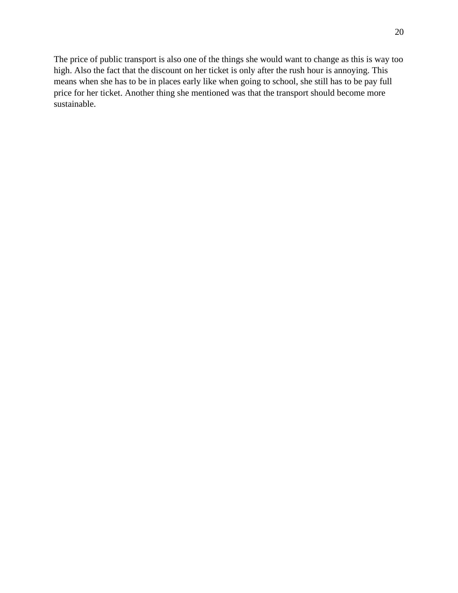The price of public transport is also one of the things she would want to change as this is way too high. Also the fact that the discount on her ticket is only after the rush hour is annoying. This means when she has to be in places early like when going to school, she still has to be pay full price for her ticket. Another thing she mentioned was that the transport should become more sustainable.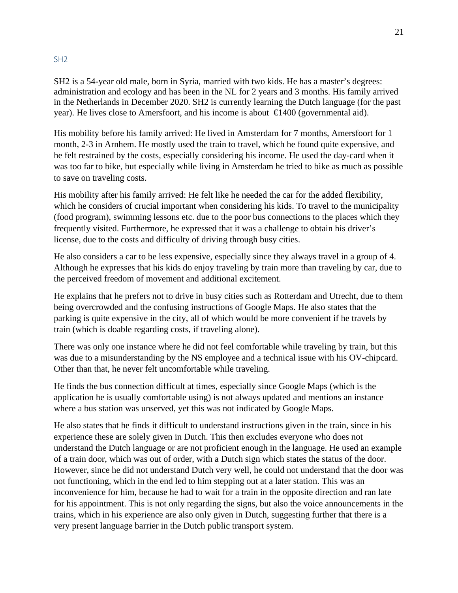#### <span id="page-20-0"></span>SH2

SH2 is a 54-year old male, born in Syria, married with two kids. He has a master's degrees: administration and ecology and has been in the NL for 2 years and 3 months. His family arrived in the Netherlands in December 2020. SH2 is currently learning the Dutch language (for the past year). He lives close to Amersfoort, and his income is about  $\bigoplus$  400 (governmental aid).

His mobility before his family arrived: He lived in Amsterdam for 7 months, Amersfoort for 1 month, 2-3 in Arnhem. He mostly used the train to travel, which he found quite expensive, and he felt restrained by the costs, especially considering his income. He used the day-card when it was too far to bike, but especially while living in Amsterdam he tried to bike as much as possible to save on traveling costs.

His mobility after his family arrived: He felt like he needed the car for the added flexibility, which he considers of crucial important when considering his kids. To travel to the municipality (food program), swimming lessons etc. due to the poor bus connections to the places which they frequently visited. Furthermore, he expressed that it was a challenge to obtain his driver's license, due to the costs and difficulty of driving through busy cities.

He also considers a car to be less expensive, especially since they always travel in a group of 4. Although he expresses that his kids do enjoy traveling by train more than traveling by car, due to the perceived freedom of movement and additional excitement.

He explains that he prefers not to drive in busy cities such as Rotterdam and Utrecht, due to them being overcrowded and the confusing instructions of Google Maps. He also states that the parking is quite expensive in the city, all of which would be more convenient if he travels by train (which is doable regarding costs, if traveling alone).

There was only one instance where he did not feel comfortable while traveling by train, but this was due to a misunderstanding by the NS employee and a technical issue with his OV-chipcard. Other than that, he never felt uncomfortable while traveling.

He finds the bus connection difficult at times, especially since Google Maps (which is the application he is usually comfortable using) is not always updated and mentions an instance where a bus station was unserved, yet this was not indicated by Google Maps.

He also states that he finds it difficult to understand instructions given in the train, since in his experience these are solely given in Dutch. This then excludes everyone who does not understand the Dutch language or are not proficient enough in the language. He used an example of a train door, which was out of order, with a Dutch sign which states the status of the door. However, since he did not understand Dutch very well, he could not understand that the door was not functioning, which in the end led to him stepping out at a later station. This was an inconvenience for him, because he had to wait for a train in the opposite direction and ran late for his appointment. This is not only regarding the signs, but also the voice announcements in the trains, which in his experience are also only given in Dutch, suggesting further that there is a very present language barrier in the Dutch public transport system.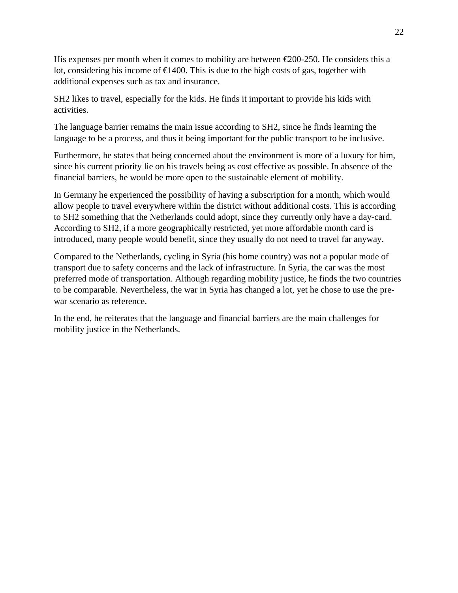His expenses per month when it comes to mobility are between  $\epsilon$  200-250. He considers this a lot, considering his income of  $\epsilon$ 1400. This is due to the high costs of gas, together with additional expenses such as tax and insurance.

SH2 likes to travel, especially for the kids. He finds it important to provide his kids with activities.

The language barrier remains the main issue according to SH2, since he finds learning the language to be a process, and thus it being important for the public transport to be inclusive.

Furthermore, he states that being concerned about the environment is more of a luxury for him, since his current priority lie on his travels being as cost effective as possible. In absence of the financial barriers, he would be more open to the sustainable element of mobility.

In Germany he experienced the possibility of having a subscription for a month, which would allow people to travel everywhere within the district without additional costs. This is according to SH2 something that the Netherlands could adopt, since they currently only have a day-card. According to SH2, if a more geographically restricted, yet more affordable month card is introduced, many people would benefit, since they usually do not need to travel far anyway.

Compared to the Netherlands, cycling in Syria (his home country) was not a popular mode of transport due to safety concerns and the lack of infrastructure. In Syria, the car was the most preferred mode of transportation. Although regarding mobility justice, he finds the two countries to be comparable. Nevertheless, the war in Syria has changed a lot, yet he chose to use the prewar scenario as reference.

In the end, he reiterates that the language and financial barriers are the main challenges for mobility justice in the Netherlands.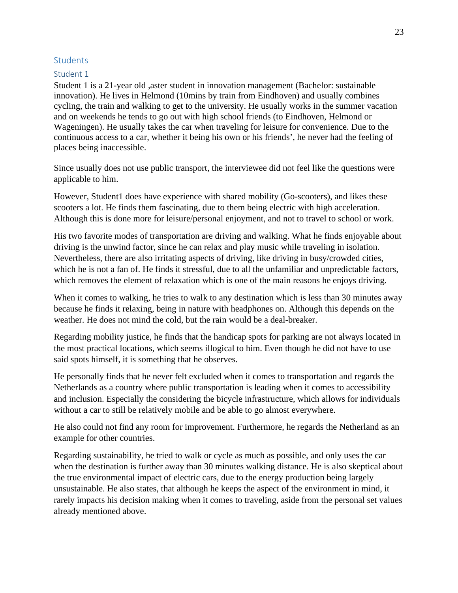#### <span id="page-22-0"></span>**Students**

#### <span id="page-22-1"></span>Student 1

Student 1 is a 21-year old ,aster student in innovation management (Bachelor: sustainable innovation). He lives in Helmond (10mins by train from Eindhoven) and usually combines cycling, the train and walking to get to the university. He usually works in the summer vacation and on weekends he tends to go out with high school friends (to Eindhoven, Helmond or Wageningen). He usually takes the car when traveling for leisure for convenience. Due to the continuous access to a car, whether it being his own or his friends', he never had the feeling of places being inaccessible.

Since usually does not use public transport, the interviewee did not feel like the questions were applicable to him.

However, Student1 does have experience with shared mobility (Go-scooters), and likes these scooters a lot. He finds them fascinating, due to them being electric with high acceleration. Although this is done more for leisure/personal enjoyment, and not to travel to school or work.

His two favorite modes of transportation are driving and walking. What he finds enjoyable about driving is the unwind factor, since he can relax and play music while traveling in isolation. Nevertheless, there are also irritating aspects of driving, like driving in busy/crowded cities, which he is not a fan of. He finds it stressful, due to all the unfamiliar and unpredictable factors, which removes the element of relaxation which is one of the main reasons he enjoys driving.

When it comes to walking, he tries to walk to any destination which is less than 30 minutes away because he finds it relaxing, being in nature with headphones on. Although this depends on the weather. He does not mind the cold, but the rain would be a deal-breaker.

Regarding mobility justice, he finds that the handicap spots for parking are not always located in the most practical locations, which seems illogical to him. Even though he did not have to use said spots himself, it is something that he observes.

He personally finds that he never felt excluded when it comes to transportation and regards the Netherlands as a country where public transportation is leading when it comes to accessibility and inclusion. Especially the considering the bicycle infrastructure, which allows for individuals without a car to still be relatively mobile and be able to go almost everywhere.

He also could not find any room for improvement. Furthermore, he regards the Netherland as an example for other countries.

Regarding sustainability, he tried to walk or cycle as much as possible, and only uses the car when the destination is further away than 30 minutes walking distance. He is also skeptical about the true environmental impact of electric cars, due to the energy production being largely unsustainable. He also states, that although he keeps the aspect of the environment in mind, it rarely impacts his decision making when it comes to traveling, aside from the personal set values already mentioned above.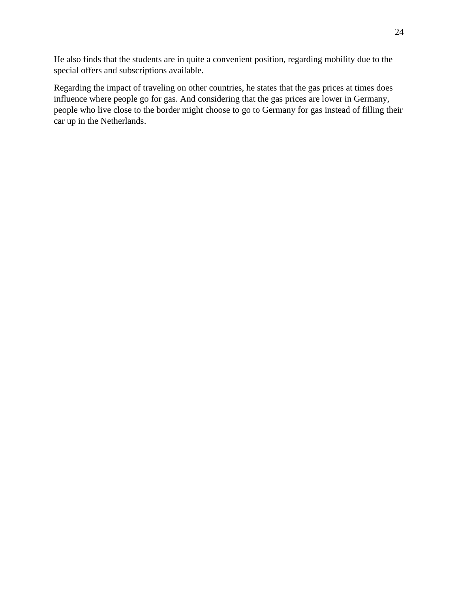He also finds that the students are in quite a convenient position, regarding mobility due to the special offers and subscriptions available.

Regarding the impact of traveling on other countries, he states that the gas prices at times does influence where people go for gas. And considering that the gas prices are lower in Germany, people who live close to the border might choose to go to Germany for gas instead of filling their car up in the Netherlands.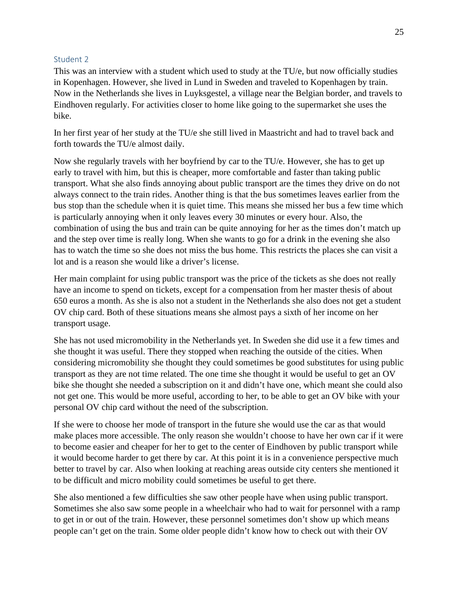#### <span id="page-24-0"></span>Student 2

This was an interview with a student which used to study at the TU/e, but now officially studies in Kopenhagen. However, she lived in Lund in Sweden and traveled to Kopenhagen by train. Now in the Netherlands she lives in Luyksgestel, a village near the Belgian border, and travels to Eindhoven regularly. For activities closer to home like going to the supermarket she uses the bike.

In her first year of her study at the TU/e she still lived in Maastricht and had to travel back and forth towards the TU/e almost daily.

Now she regularly travels with her boyfriend by car to the TU/e. However, she has to get up early to travel with him, but this is cheaper, more comfortable and faster than taking public transport. What she also finds annoying about public transport are the times they drive on do not always connect to the train rides. Another thing is that the bus sometimes leaves earlier from the bus stop than the schedule when it is quiet time. This means she missed her bus a few time which is particularly annoying when it only leaves every 30 minutes or every hour. Also, the combination of using the bus and train can be quite annoying for her as the times don't match up and the step over time is really long. When she wants to go for a drink in the evening she also has to watch the time so she does not miss the bus home. This restricts the places she can visit a lot and is a reason she would like a driver's license.

Her main complaint for using public transport was the price of the tickets as she does not really have an income to spend on tickets, except for a compensation from her master thesis of about 650 euros a month. As she is also not a student in the Netherlands she also does not get a student OV chip card. Both of these situations means she almost pays a sixth of her income on her transport usage.

She has not used micromobility in the Netherlands yet. In Sweden she did use it a few times and she thought it was useful. There they stopped when reaching the outside of the cities. When considering micromobility she thought they could sometimes be good substitutes for using public transport as they are not time related. The one time she thought it would be useful to get an OV bike she thought she needed a subscription on it and didn't have one, which meant she could also not get one. This would be more useful, according to her, to be able to get an OV bike with your personal OV chip card without the need of the subscription.

If she were to choose her mode of transport in the future she would use the car as that would make places more accessible. The only reason she wouldn't choose to have her own car if it were to become easier and cheaper for her to get to the center of Eindhoven by public transport while it would become harder to get there by car. At this point it is in a convenience perspective much better to travel by car. Also when looking at reaching areas outside city centers she mentioned it to be difficult and micro mobility could sometimes be useful to get there.

She also mentioned a few difficulties she saw other people have when using public transport. Sometimes she also saw some people in a wheelchair who had to wait for personnel with a ramp to get in or out of the train. However, these personnel sometimes don't show up which means people can't get on the train. Some older people didn't know how to check out with their OV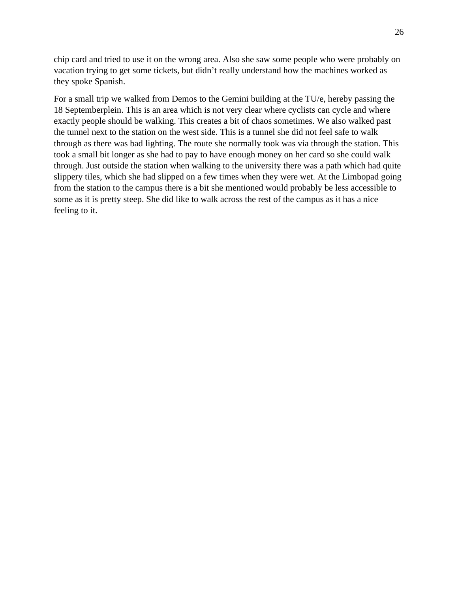chip card and tried to use it on the wrong area. Also she saw some people who were probably on vacation trying to get some tickets, but didn't really understand how the machines worked as they spoke Spanish.

For a small trip we walked from Demos to the Gemini building at the TU/e, hereby passing the 18 Septemberplein. This is an area which is not very clear where cyclists can cycle and where exactly people should be walking. This creates a bit of chaos sometimes. We also walked past the tunnel next to the station on the west side. This is a tunnel she did not feel safe to walk through as there was bad lighting. The route she normally took was via through the station. This took a small bit longer as she had to pay to have enough money on her card so she could walk through. Just outside the station when walking to the university there was a path which had quite slippery tiles, which she had slipped on a few times when they were wet. At the Limbopad going from the station to the campus there is a bit she mentioned would probably be less accessible to some as it is pretty steep. She did like to walk across the rest of the campus as it has a nice feeling to it.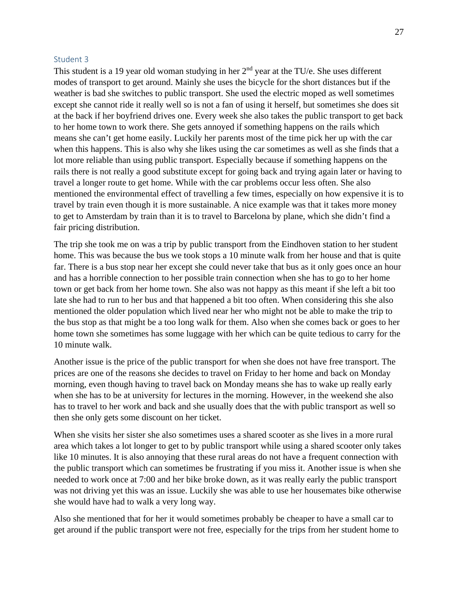#### <span id="page-26-0"></span>Student 3

This student is a 19 year old woman studying in her  $2<sup>nd</sup>$  year at the TU/e. She uses different modes of transport to get around. Mainly she uses the bicycle for the short distances but if the weather is bad she switches to public transport. She used the electric moped as well sometimes except she cannot ride it really well so is not a fan of using it herself, but sometimes she does sit at the back if her boyfriend drives one. Every week she also takes the public transport to get back to her home town to work there. She gets annoyed if something happens on the rails which means she can't get home easily. Luckily her parents most of the time pick her up with the car when this happens. This is also why she likes using the car sometimes as well as she finds that a lot more reliable than using public transport. Especially because if something happens on the rails there is not really a good substitute except for going back and trying again later or having to travel a longer route to get home. While with the car problems occur less often. She also mentioned the environmental effect of travelling a few times, especially on how expensive it is to travel by train even though it is more sustainable. A nice example was that it takes more money to get to Amsterdam by train than it is to travel to Barcelona by plane, which she didn't find a fair pricing distribution.

The trip she took me on was a trip by public transport from the Eindhoven station to her student home. This was because the bus we took stops a 10 minute walk from her house and that is quite far. There is a bus stop near her except she could never take that bus as it only goes once an hour and has a horrible connection to her possible train connection when she has to go to her home town or get back from her home town. She also was not happy as this meant if she left a bit too late she had to run to her bus and that happened a bit too often. When considering this she also mentioned the older population which lived near her who might not be able to make the trip to the bus stop as that might be a too long walk for them. Also when she comes back or goes to her home town she sometimes has some luggage with her which can be quite tedious to carry for the 10 minute walk.

Another issue is the price of the public transport for when she does not have free transport. The prices are one of the reasons she decides to travel on Friday to her home and back on Monday morning, even though having to travel back on Monday means she has to wake up really early when she has to be at university for lectures in the morning. However, in the weekend she also has to travel to her work and back and she usually does that the with public transport as well so then she only gets some discount on her ticket.

When she visits her sister she also sometimes uses a shared scooter as she lives in a more rural area which takes a lot longer to get to by public transport while using a shared scooter only takes like 10 minutes. It is also annoying that these rural areas do not have a frequent connection with the public transport which can sometimes be frustrating if you miss it. Another issue is when she needed to work once at 7:00 and her bike broke down, as it was really early the public transport was not driving yet this was an issue. Luckily she was able to use her housemates bike otherwise she would have had to walk a very long way.

Also she mentioned that for her it would sometimes probably be cheaper to have a small car to get around if the public transport were not free, especially for the trips from her student home to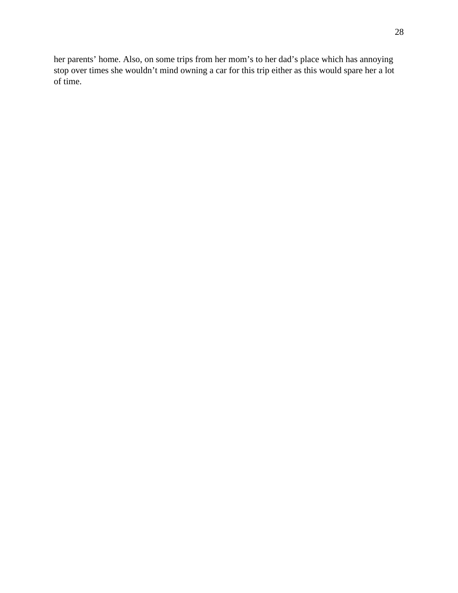her parents' home. Also, on some trips from her mom's to her dad's place which has annoying stop over times she wouldn't mind owning a car for this trip either as this would spare her a lot of time.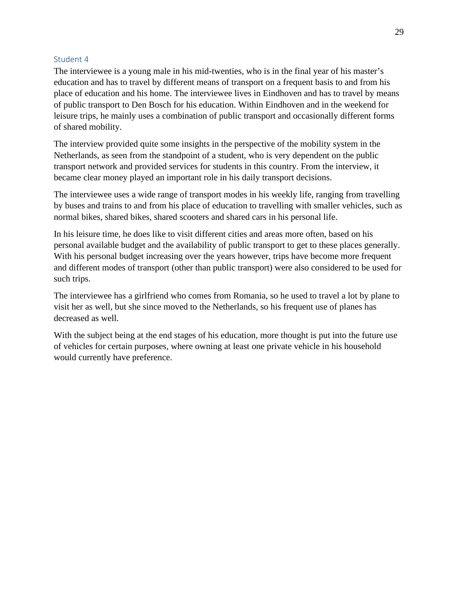#### <span id="page-28-0"></span>Student 4

The interviewee is a young male in his mid-twenties, who is in the final year of his master's education and has to travel by different means of transport on a frequent basis to and from his place of education and his home. The interviewee lives in Eindhoven and has to travel by means of public transport to Den Bosch for his education. Within Eindhoven and in the weekend for leisure trips, he mainly uses a combination of public transport and occasionally different forms of shared mobility.

The interview provided quite some insights in the perspective of the mobility system in the Netherlands, as seen from the standpoint of a student, who is very dependent on the public transport network and provided services for students in this country. From the interview, it became clear money played an important role in his daily transport decisions.

The interviewee uses a wide range of transport modes in his weekly life, ranging from travelling by buses and trains to and from his place of education to travelling with smaller vehicles, such as normal bikes, shared bikes, shared scooters and shared cars in his personal life.

In his leisure time, he does like to visit different cities and areas more often, based on his personal available budget and the availability of public transport to get to these places generally. With his personal budget increasing over the years however, trips have become more frequent and different modes of transport (other than public transport) were also considered to be used for such trips.

The interviewee has a girlfriend who comes from Romania, so he used to travel a lot by plane to visit her as well, but she since moved to the Netherlands, so his frequent use of planes has decreased as well.

With the subject being at the end stages of his education, more thought is put into the future use of vehicles for certain purposes, where owning at least one private vehicle in his household would currently have preference.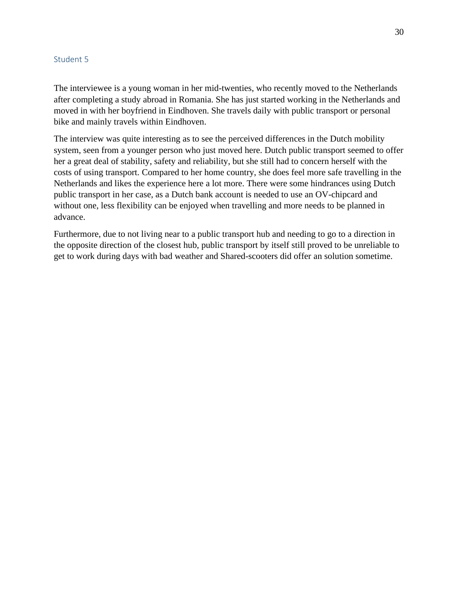#### <span id="page-29-0"></span>Student 5

The interviewee is a young woman in her mid-twenties, who recently moved to the Netherlands after completing a study abroad in Romania. She has just started working in the Netherlands and moved in with her boyfriend in Eindhoven. She travels daily with public transport or personal bike and mainly travels within Eindhoven.

The interview was quite interesting as to see the perceived differences in the Dutch mobility system, seen from a younger person who just moved here. Dutch public transport seemed to offer her a great deal of stability, safety and reliability, but she still had to concern herself with the costs of using transport. Compared to her home country, she does feel more safe travelling in the Netherlands and likes the experience here a lot more. There were some hindrances using Dutch public transport in her case, as a Dutch bank account is needed to use an OV-chipcard and without one, less flexibility can be enjoyed when travelling and more needs to be planned in advance.

Furthermore, due to not living near to a public transport hub and needing to go to a direction in the opposite direction of the closest hub, public transport by itself still proved to be unreliable to get to work during days with bad weather and Shared-scooters did offer an solution sometime.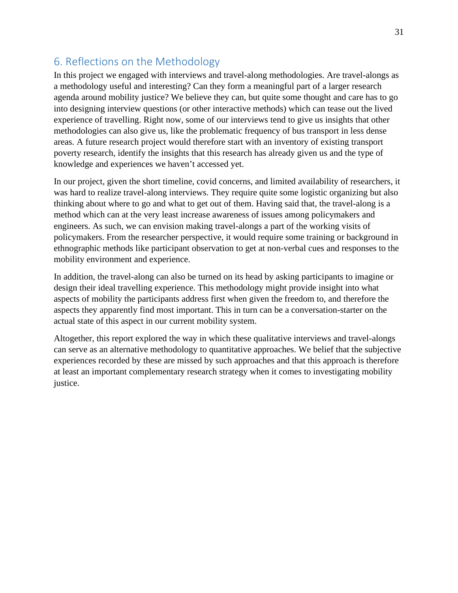# <span id="page-30-0"></span>6. Reflections on the Methodology

In this project we engaged with interviews and travel-along methodologies. Are travel-alongs as a methodology useful and interesting? Can they form a meaningful part of a larger research agenda around mobility justice? We believe they can, but quite some thought and care has to go into designing interview questions (or other interactive methods) which can tease out the lived experience of travelling. Right now, some of our interviews tend to give us insights that other methodologies can also give us, like the problematic frequency of bus transport in less dense areas. A future research project would therefore start with an inventory of existing transport poverty research, identify the insights that this research has already given us and the type of knowledge and experiences we haven't accessed yet.

In our project, given the short timeline, covid concerns, and limited availability of researchers, it was hard to realize travel-along interviews. They require quite some logistic organizing but also thinking about where to go and what to get out of them. Having said that, the travel-along is a method which can at the very least increase awareness of issues among policymakers and engineers. As such, we can envision making travel-alongs a part of the working visits of policymakers. From the researcher perspective, it would require some training or background in ethnographic methods like participant observation to get at non-verbal cues and responses to the mobility environment and experience.

In addition, the travel-along can also be turned on its head by asking participants to imagine or design their ideal travelling experience. This methodology might provide insight into what aspects of mobility the participants address first when given the freedom to, and therefore the aspects they apparently find most important. This in turn can be a conversation-starter on the actual state of this aspect in our current mobility system.

Altogether, this report explored the way in which these qualitative interviews and travel-alongs can serve as an alternative methodology to quantitative approaches. We belief that the subjective experiences recorded by these are missed by such approaches and that this approach is therefore at least an important complementary research strategy when it comes to investigating mobility justice.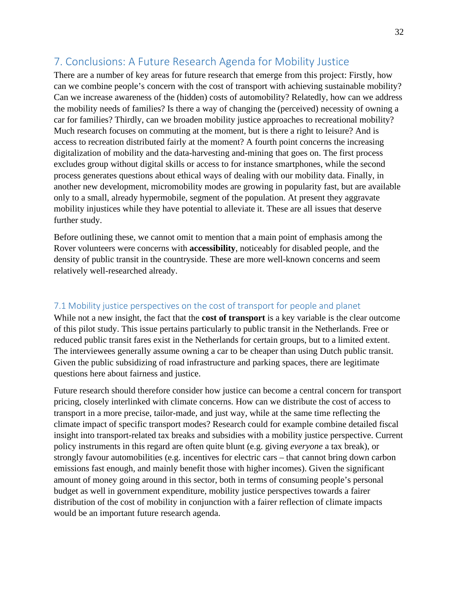# <span id="page-31-0"></span>7. Conclusions: A Future Research Agenda for Mobility Justice

There are a number of key areas for future research that emerge from this project: Firstly, how can we combine people's concern with the cost of transport with achieving sustainable mobility? Can we increase awareness of the (hidden) costs of automobility? Relatedly, how can we address the mobility needs of families? Is there a way of changing the (perceived) necessity of owning a car for families? Thirdly, can we broaden mobility justice approaches to recreational mobility? Much research focuses on commuting at the moment, but is there a right to leisure? And is access to recreation distributed fairly at the moment? A fourth point concerns the increasing digitalization of mobility and the data-harvesting and-mining that goes on. The first process excludes group without digital skills or access to for instance smartphones, while the second process generates questions about ethical ways of dealing with our mobility data. Finally, in another new development, micromobility modes are growing in popularity fast, but are available only to a small, already hypermobile, segment of the population. At present they aggravate mobility injustices while they have potential to alleviate it. These are all issues that deserve further study.

Before outlining these, we cannot omit to mention that a main point of emphasis among the Rover volunteers were concerns with **accessibility**, noticeably for disabled people, and the density of public transit in the countryside. These are more well-known concerns and seem relatively well-researched already.

## <span id="page-31-1"></span>7.1 Mobility justice perspectives on the cost of transport for people and planet

While not a new insight, the fact that the **cost of transport** is a key variable is the clear outcome of this pilot study. This issue pertains particularly to public transit in the Netherlands. Free or reduced public transit fares exist in the Netherlands for certain groups, but to a limited extent. The interviewees generally assume owning a car to be cheaper than using Dutch public transit. Given the public subsidizing of road infrastructure and parking spaces, there are legitimate questions here about fairness and justice.

Future research should therefore consider how justice can become a central concern for transport pricing, closely interlinked with climate concerns. How can we distribute the cost of access to transport in a more precise, tailor-made, and just way, while at the same time reflecting the climate impact of specific transport modes? Research could for example combine detailed fiscal insight into transport-related tax breaks and subsidies with a mobility justice perspective. Current policy instruments in this regard are often quite blunt (e.g. giving *everyone* a tax break), or strongly favour automobilities (e.g. incentives for electric cars – that cannot bring down carbon emissions fast enough, and mainly benefit those with higher incomes). Given the significant amount of money going around in this sector, both in terms of consuming people's personal budget as well in government expenditure, mobility justice perspectives towards a fairer distribution of the cost of mobility in conjunction with a fairer reflection of climate impacts would be an important future research agenda.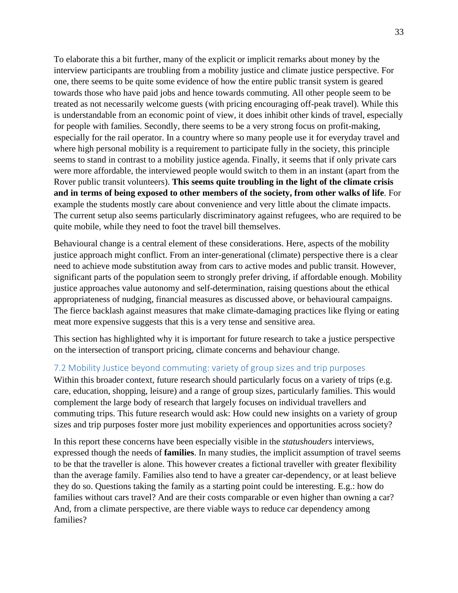To elaborate this a bit further, many of the explicit or implicit remarks about money by the interview participants are troubling from a mobility justice and climate justice perspective. For one, there seems to be quite some evidence of how the entire public transit system is geared towards those who have paid jobs and hence towards commuting. All other people seem to be treated as not necessarily welcome guests (with pricing encouraging off-peak travel). While this is understandable from an economic point of view, it does inhibit other kinds of travel, especially for people with families. Secondly, there seems to be a very strong focus on profit-making, especially for the rail operator. In a country where so many people use it for everyday travel and where high personal mobility is a requirement to participate fully in the society, this principle seems to stand in contrast to a mobility justice agenda. Finally, it seems that if only private cars were more affordable, the interviewed people would switch to them in an instant (apart from the Rover public transit volunteers). **This seems quite troubling in the light of the climate crisis and in terms of being exposed to other members of the society, from other walks of life**. For example the students mostly care about convenience and very little about the climate impacts. The current setup also seems particularly discriminatory against refugees, who are required to be quite mobile, while they need to foot the travel bill themselves.

Behavioural change is a central element of these considerations. Here, aspects of the mobility justice approach might conflict. From an inter-generational (climate) perspective there is a clear need to achieve mode substitution away from cars to active modes and public transit. However, significant parts of the population seem to strongly prefer driving, if affordable enough. Mobility justice approaches value autonomy and self-determination, raising questions about the ethical appropriateness of nudging, financial measures as discussed above, or behavioural campaigns. The fierce backlash against measures that make climate-damaging practices like flying or eating meat more expensive suggests that this is a very tense and sensitive area.

This section has highlighted why it is important for future research to take a justice perspective on the intersection of transport pricing, climate concerns and behaviour change.

#### <span id="page-32-0"></span>7.2 Mobility Justice beyond commuting: variety of group sizes and trip purposes

Within this broader context, future research should particularly focus on a variety of trips (e.g. care, education, shopping, leisure) and a range of group sizes, particularly families. This would complement the large body of research that largely focuses on individual travellers and commuting trips. This future research would ask: How could new insights on a variety of group sizes and trip purposes foster more just mobility experiences and opportunities across society?

In this report these concerns have been especially visible in the *statushouders* interviews, expressed though the needs of **families**. In many studies, the implicit assumption of travel seems to be that the traveller is alone. This however creates a fictional traveller with greater flexibility than the average family. Families also tend to have a greater car-dependency, or at least believe they do so. Questions taking the family as a starting point could be interesting. E.g.: how do families without cars travel? And are their costs comparable or even higher than owning a car? And, from a climate perspective, are there viable ways to reduce car dependency among families?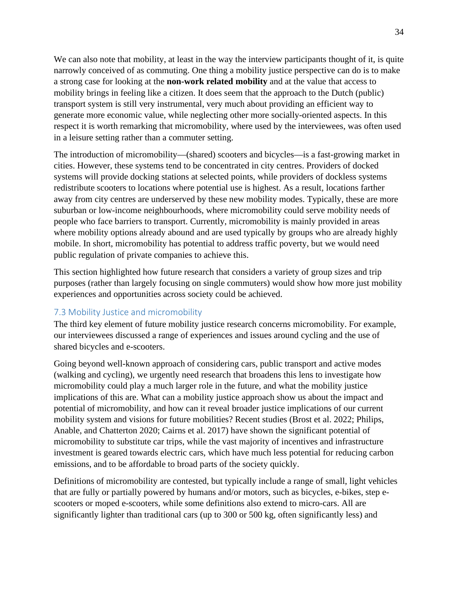We can also note that mobility, at least in the way the interview participants thought of it, is quite narrowly conceived of as commuting. One thing a mobility justice perspective can do is to make a strong case for looking at the **non-work related mobility** and at the value that access to mobility brings in feeling like a citizen. It does seem that the approach to the Dutch (public) transport system is still very instrumental, very much about providing an efficient way to generate more economic value, while neglecting other more socially-oriented aspects. In this respect it is worth remarking that micromobility, where used by the interviewees, was often used in a leisure setting rather than a commuter setting.

The introduction of micromobility—(shared) scooters and bicycles—is a fast-growing market in cities. However, these systems tend to be concentrated in city centres. Providers of docked systems will provide docking stations at selected points, while providers of dockless systems redistribute scooters to locations where potential use is highest. As a result, locations farther away from city centres are underserved by these new mobility modes. Typically, these are more suburban or low-income neighbourhoods, where micromobility could serve mobility needs of people who face barriers to transport. Currently, micromobility is mainly provided in areas where mobility options already abound and are used typically by groups who are already highly mobile. In short, micromobility has potential to address traffic poverty, but we would need public regulation of private companies to achieve this.

This section highlighted how future research that considers a variety of group sizes and trip purposes (rather than largely focusing on single commuters) would show how more just mobility experiences and opportunities across society could be achieved.

## <span id="page-33-0"></span>7.3 Mobility Justice and micromobility

The third key element of future mobility justice research concerns micromobility. For example, our interviewees discussed a range of experiences and issues around cycling and the use of shared bicycles and e-scooters.

Going beyond well-known approach of considering cars, public transport and active modes (walking and cycling), we urgently need research that broadens this lens to investigate how micromobility could play a much larger role in the future, and what the mobility justice implications of this are. What can a mobility justice approach show us about the impact and potential of micromobility, and how can it reveal broader justice implications of our current mobility system and visions for future mobilities? Recent studies (Brost et al. 2022; Philips, Anable, and Chatterton 2020; Cairns et al. 2017) have shown the significant potential of micromobility to substitute car trips, while the vast majority of incentives and infrastructure investment is geared towards electric cars, which have much less potential for reducing carbon emissions, and to be affordable to broad parts of the society quickly.

Definitions of micromobility are contested, but typically include a range of small, light vehicles that are fully or partially powered by humans and/or motors, such as bicycles, e-bikes, step escooters or moped e-scooters, while some definitions also extend to micro-cars. All are significantly lighter than traditional cars (up to 300 or 500 kg, often significantly less) and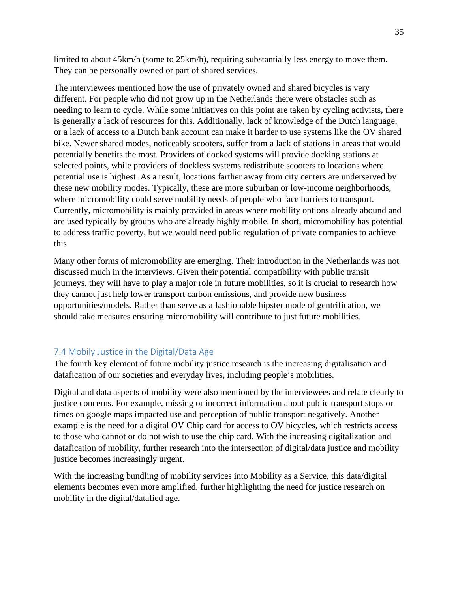limited to about 45km/h (some to 25km/h), requiring substantially less energy to move them. They can be personally owned or part of shared services.

The interviewees mentioned how the use of privately owned and shared bicycles is very different. For people who did not grow up in the Netherlands there were obstacles such as needing to learn to cycle. While some initiatives on this point are taken by cycling activists, there is generally a lack of resources for this. Additionally, lack of knowledge of the Dutch language, or a lack of access to a Dutch bank account can make it harder to use systems like the OV shared bike. Newer shared modes, noticeably scooters, suffer from a lack of stations in areas that would potentially benefits the most. Providers of docked systems will provide docking stations at selected points, while providers of dockless systems redistribute scooters to locations where potential use is highest. As a result, locations farther away from city centers are underserved by these new mobility modes. Typically, these are more suburban or low-income neighborhoods, where micromobility could serve mobility needs of people who face barriers to transport. Currently, micromobility is mainly provided in areas where mobility options already abound and are used typically by groups who are already highly mobile. In short, micromobility has potential to address traffic poverty, but we would need public regulation of private companies to achieve this

Many other forms of micromobility are emerging. Their introduction in the Netherlands was not discussed much in the interviews. Given their potential compatibility with public transit journeys, they will have to play a major role in future mobilities, so it is crucial to research how they cannot just help lower transport carbon emissions, and provide new business opportunities/models. Rather than serve as a fashionable hipster mode of gentrification, we should take measures ensuring micromobility will contribute to just future mobilities.

## <span id="page-34-0"></span>7.4 Mobily Justice in the Digital/Data Age

The fourth key element of future mobility justice research is the increasing digitalisation and datafication of our societies and everyday lives, including people's mobilities.

Digital and data aspects of mobility were also mentioned by the interviewees and relate clearly to justice concerns. For example, missing or incorrect information about public transport stops or times on google maps impacted use and perception of public transport negatively. Another example is the need for a digital OV Chip card for access to OV bicycles, which restricts access to those who cannot or do not wish to use the chip card. With the increasing digitalization and datafication of mobility, further research into the intersection of digital/data justice and mobility justice becomes increasingly urgent.

With the increasing bundling of mobility services into Mobility as a Service, this data/digital elements becomes even more amplified, further highlighting the need for justice research on mobility in the digital/datafied age.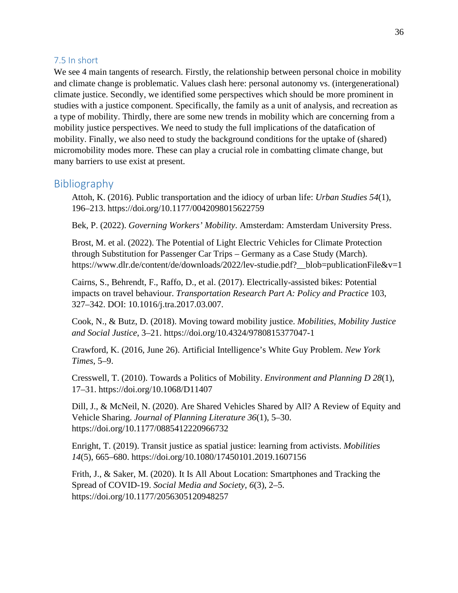#### <span id="page-35-0"></span>7.5 In short

We see 4 main tangents of research. Firstly, the relationship between personal choice in mobility and climate change is problematic. Values clash here: personal autonomy vs. (intergenerational) climate justice. Secondly, we identified some perspectives which should be more prominent in studies with a justice component. Specifically, the family as a unit of analysis, and recreation as a type of mobility. Thirdly, there are some new trends in mobility which are concerning from a mobility justice perspectives. We need to study the full implications of the datafication of mobility. Finally, we also need to study the background conditions for the uptake of (shared) micromobility modes more. These can play a crucial role in combatting climate change, but many barriers to use exist at present.

## <span id="page-35-1"></span>Bibliography

Attoh, K. (2016). Public transportation and the idiocy of urban life: *Urban Studies 54*(1), 196–213. https://doi.org/10.1177/0042098015622759

Bek, P. (2022). *Governing Workers' Mobility*. Amsterdam: Amsterdam University Press.

Brost, M. et al. (2022). The Potential of Light Electric Vehicles for Climate Protection through Substitution for Passenger Car Trips – Germany as a Case Study (March). https://www.dlr.de/content/de/downloads/2022/lev-studie.pdf? blob=publicationFile&v=1

Cairns, S., Behrendt, F., Raffo, D., et al. (2017). Electrically-assisted bikes: Potential impacts on travel behaviour. *Transportation Research Part A: Policy and Practice* 103, 327–342. DOI: 10.1016/j.tra.2017.03.007.

Cook, N., & Butz, D. (2018). Moving toward mobility justice. *Mobilities, Mobility Justice and Social Justice*, 3–21. https://doi.org/10.4324/9780815377047-1

Crawford, K. (2016, June 26). Artificial Intelligence's White Guy Problem. *New York Times*, 5–9.

Cresswell, T. (2010). Towards a Politics of Mobility. *Environment and Planning D 28*(1), 17–31. https://doi.org/10.1068/D11407

Dill, J., & McNeil, N. (2020). Are Shared Vehicles Shared by All? A Review of Equity and Vehicle Sharing. *Journal of Planning Literature 36*(1), 5–30. https://doi.org/10.1177/0885412220966732

Enright, T. (2019). Transit justice as spatial justice: learning from activists. *Mobilities 14*(5), 665–680. https://doi.org/10.1080/17450101.2019.1607156

Frith, J., & Saker, M. (2020). It Is All About Location: Smartphones and Tracking the Spread of COVID-19. *Social Media and Society*, *6*(3), 2–5. https://doi.org/10.1177/2056305120948257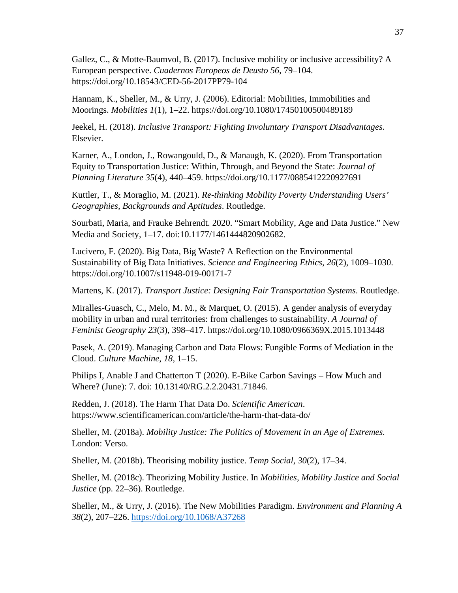Gallez, C., & Motte-Baumvol, B. (2017). Inclusive mobility or inclusive accessibility? A European perspective. *Cuadernos Europeos de Deusto 56*, 79–104. https://doi.org/10.18543/CED-56-2017PP79-104

Hannam, K., Sheller, M., & Urry, J. (2006). Editorial: Mobilities, Immobilities and Moorings. *Mobilities 1*(1), 1–22. https://doi.org/10.1080/17450100500489189

Jeekel, H. (2018). *Inclusive Transport: Fighting Involuntary Transport Disadvantages*. Elsevier.

Karner, A., London, J., Rowangould, D., & Manaugh, K. (2020). From Transportation Equity to Transportation Justice: Within, Through, and Beyond the State: *Journal of Planning Literature 35*(4), 440–459. https://doi.org/10.1177/0885412220927691

Kuttler, T., & Moraglio, M. (2021). *Re-thinking Mobility Poverty Understanding Users' Geographies, Backgrounds and Aptitudes*. Routledge.

Sourbati, Maria, and Frauke Behrendt. 2020. "Smart Mobility, Age and Data Justice." New Media and Society, 1–17. doi:10.1177/1461444820902682.

Lucivero, F. (2020). Big Data, Big Waste? A Reflection on the Environmental Sustainability of Big Data Initiatives. *Science and Engineering Ethics*, *26*(2), 1009–1030. https://doi.org/10.1007/s11948-019-00171-7

Martens, K. (2017). *Transport Justice: Designing Fair Transportation Systems*. Routledge.

Miralles-Guasch, C., Melo, M. M., & Marquet, O. (2015). A gender analysis of everyday mobility in urban and rural territories: from challenges to sustainability. *A Journal of Feminist Geography 23*(3), 398–417. https://doi.org/10.1080/0966369X.2015.1013448

Pasek, A. (2019). Managing Carbon and Data Flows: Fungible Forms of Mediation in the Cloud. *Culture Machine*, *18*, 1–15.

Philips I, Anable J and Chatterton T (2020). E-Bike Carbon Savings – How Much and Where? (June): 7. doi: 10.13140/RG.2.2.20431.71846.

Redden, J. (2018). The Harm That Data Do. *Scientific American*. https://www.scientificamerican.com/article/the-harm-that-data-do/

Sheller, M. (2018a). *Mobility Justice: The Politics of Movement in an Age of Extremes.*  London: Verso.

Sheller, M. (2018b). Theorising mobility justice. *Temp Social*, *30*(2), 17–34.

Sheller, M. (2018c). Theorizing Mobility Justice. In *Mobilities, Mobility Justice and Social Justice* (pp. 22–36). Routledge.

Sheller, M., & Urry, J. (2016). The New Mobilities Paradigm. *Environment and Planning A 38*(2), 207–226.<https://doi.org/10.1068/A37268>